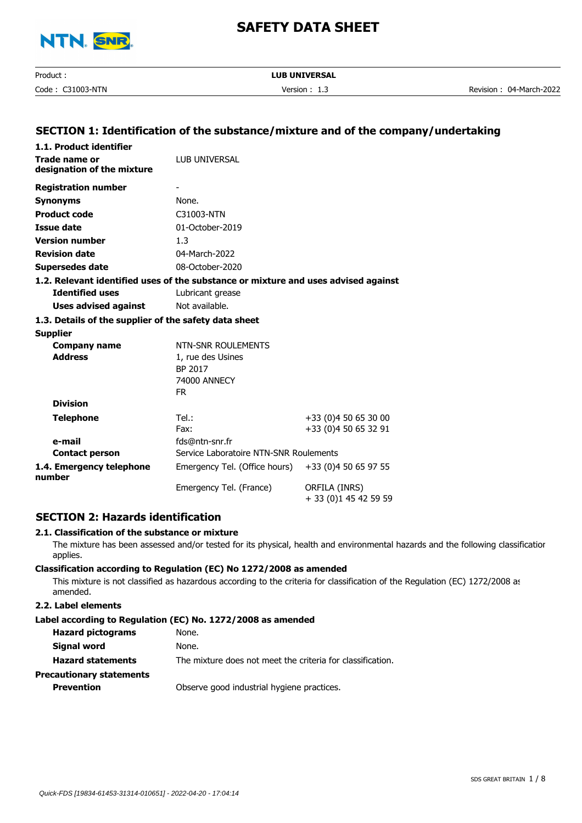

| Product                | <b>LUB UNIVERSAL</b> |                           |
|------------------------|----------------------|---------------------------|
| $C31003-NTN$<br>Code : | Version<br>--        | 04-March-2022<br>Revision |

# **SECTION 1: Identification of the substance/mixture and of the company/undertaking**

| 1.1. Product identifier                                                            |                                                       |                                              |  |  |
|------------------------------------------------------------------------------------|-------------------------------------------------------|----------------------------------------------|--|--|
| Trade name or                                                                      | LUB UNIVERSAL                                         |                                              |  |  |
| designation of the mixture                                                         |                                                       |                                              |  |  |
| <b>Registration number</b>                                                         |                                                       |                                              |  |  |
| <b>Synonyms</b>                                                                    | None.                                                 |                                              |  |  |
| <b>Product code</b>                                                                | C31003-NTN                                            |                                              |  |  |
| <b>Issue date</b>                                                                  | 01-October-2019                                       |                                              |  |  |
| <b>Version number</b>                                                              | 1.3                                                   |                                              |  |  |
| <b>Revision date</b>                                                               | 04-March-2022                                         |                                              |  |  |
| <b>Supersedes date</b>                                                             | 08-October-2020                                       |                                              |  |  |
| 1.2. Relevant identified uses of the substance or mixture and uses advised against |                                                       |                                              |  |  |
| <b>Identified uses</b>                                                             | Lubricant grease                                      |                                              |  |  |
| <b>Uses advised against</b>                                                        | Not available.                                        |                                              |  |  |
| 1.3. Details of the supplier of the safety data sheet                              |                                                       |                                              |  |  |
| <b>Supplier</b>                                                                    |                                                       |                                              |  |  |
| <b>Company name</b>                                                                | NTN-SNR ROULEMENTS                                    |                                              |  |  |
| <b>Address</b>                                                                     | 1, rue des Usines                                     |                                              |  |  |
|                                                                                    | BP 2017                                               |                                              |  |  |
|                                                                                    | 74000 ANNECY<br>FR.                                   |                                              |  |  |
| <b>Division</b>                                                                    |                                                       |                                              |  |  |
|                                                                                    | Tel.:                                                 |                                              |  |  |
| <b>Telephone</b>                                                                   | Fax:                                                  | +33 (0)4 50 65 30 00<br>+33 (0)4 50 65 32 91 |  |  |
| e-mail                                                                             | fds@ntn-snr.fr                                        |                                              |  |  |
| <b>Contact person</b>                                                              | Service Laboratoire NTN-SNR Roulements                |                                              |  |  |
| 1.4. Emergency telephone<br>number                                                 | +33 (0)4 50 65 97 55<br>Emergency Tel. (Office hours) |                                              |  |  |
|                                                                                    | Emergency Tel. (France)                               | ORFILA (INRS)<br>+ 33 (0)1 45 42 59 59       |  |  |

# **SECTION 2: Hazards identification**

#### **2.1. Classification of the substance or mixture**

The mixture has been assessed and/or tested for its physical, health and environmental hazards and the following classification applies.

### **Classification according to Regulation (EC) No 1272/2008 as amended**

This mixture is not classified as hazardous according to the criteria for classification of the Regulation (EC) 1272/2008 as amended.

## **2.2. Label elements**

### **Label according to Regulation (EC) No. 1272/2008 as amended**

| <b>Hazard pictograms</b> | None.                                                      |
|--------------------------|------------------------------------------------------------|
| Signal word              | None.                                                      |
| <b>Hazard statements</b> | The mixture does not meet the criteria for classification. |
| Precautionary statements |                                                            |
| <b>Prevention</b>        | Observe good industrial hygiene practices.                 |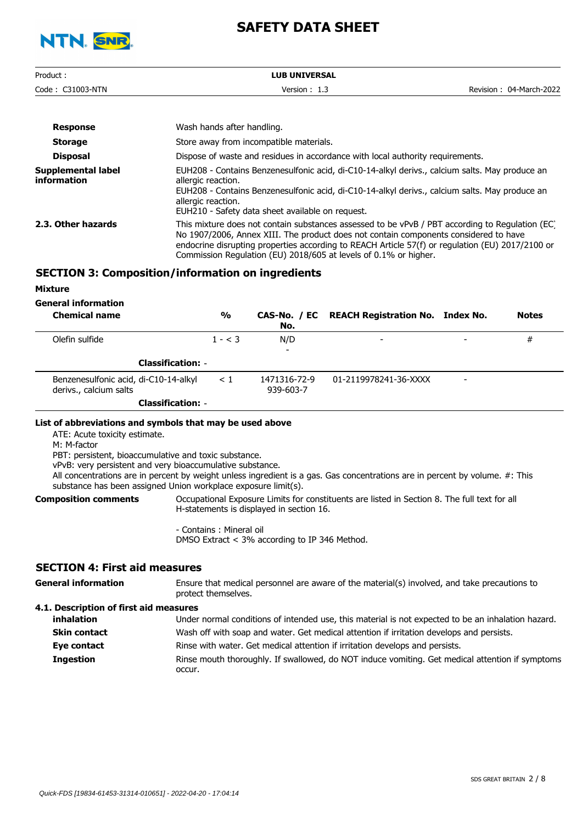

| Product:         | <b>LUB UNIVERSAL</b> |                         |
|------------------|----------------------|-------------------------|
| Code: C31003-NTN | Version $: 1.3$      | Revision: 04-March-2022 |
|                  |                      |                         |

| <b>Response</b>                   | Wash hands after handling.                                                                                                                                                                                                                                                                                                                                      |
|-----------------------------------|-----------------------------------------------------------------------------------------------------------------------------------------------------------------------------------------------------------------------------------------------------------------------------------------------------------------------------------------------------------------|
| <b>Storage</b>                    | Store away from incompatible materials.                                                                                                                                                                                                                                                                                                                         |
| <b>Disposal</b>                   | Dispose of waste and residues in accordance with local authority requirements.                                                                                                                                                                                                                                                                                  |
| Supplemental label<br>information | EUH208 - Contains Benzenesulfonic acid, di-C10-14-alkyl derivs., calcium salts. May produce an<br>allergic reaction.<br>EUH208 - Contains Benzenesulfonic acid, di-C10-14-alkyl derivs., calcium salts. May produce an<br>allergic reaction.<br>EUH210 - Safety data sheet available on request.                                                                |
| 2.3. Other hazards                | This mixture does not contain substances assessed to be vPvB / PBT according to Regulation (EC)<br>No 1907/2006, Annex XIII. The product does not contain components considered to have<br>endocrine disrupting properties according to REACH Article 57(f) or regulation (EU) 2017/2100 or<br>Commission Regulation (EU) 2018/605 at levels of 0.1% or higher. |

# **SECTION 3: Composition/information on ingredients**

**Mixture**

**General information**

| <b>Chemical name</b>                                            | $\frac{0}{0}$ | No.                       | CAS-No. / EC REACH Registration No. Index No. |                          | <b>Notes</b> |
|-----------------------------------------------------------------|---------------|---------------------------|-----------------------------------------------|--------------------------|--------------|
| Olefin sulfide                                                  | $1 - < 3$     | N/D                       | $\overline{\phantom{a}}$                      | $\overline{\phantom{0}}$ | #            |
| <b>Classification: -</b>                                        |               | $\overline{\phantom{0}}$  |                                               |                          |              |
| Benzenesulfonic acid, di-C10-14-alkyl<br>derivs., calcium salts | $\leq 1$      | 1471316-72-9<br>939-603-7 | 01-2119978241-36-XXXX                         | $\overline{\phantom{a}}$ |              |
| <b>Classification: -</b>                                        |               |                           |                                               |                          |              |

#### **List of abbreviations and symbols that may be used above**

ATE: Acute toxicity estimate.

M: M-factor

PBT: persistent, bioaccumulative and toxic substance.

vPvB: very persistent and very bioaccumulative substance.

All concentrations are in percent by weight unless ingredient is a gas. Gas concentrations are in percent by volume. #: This substance has been assigned Union workplace exposure limit(s).

**Composition comments**

Occupational Exposure Limits for constituents are listed in Section 8. The full text for all H-statements is displayed in section 16.

- Contains : Mineral oil DMSO Extract < 3% according to IP 346 Method.

## **SECTION 4: First aid measures**

| <b>General information</b>             | Ensure that medical personnel are aware of the material(s) involved, and take precautions to<br>protect themselves. |
|----------------------------------------|---------------------------------------------------------------------------------------------------------------------|
| 4.1. Description of first aid measures |                                                                                                                     |
| inhalation                             | Under normal conditions of intended use, this material is not expected to be an inhalation hazard.                  |
| <b>Skin contact</b>                    | Wash off with soap and water. Get medical attention if irritation develops and persists.                            |
| Eye contact                            | Rinse with water. Get medical attention if irritation develops and persists.                                        |

Rinse mouth thoroughly. If swallowed, do NOT induce vomiting. Get medical attention if symptoms occur. **Ingestion**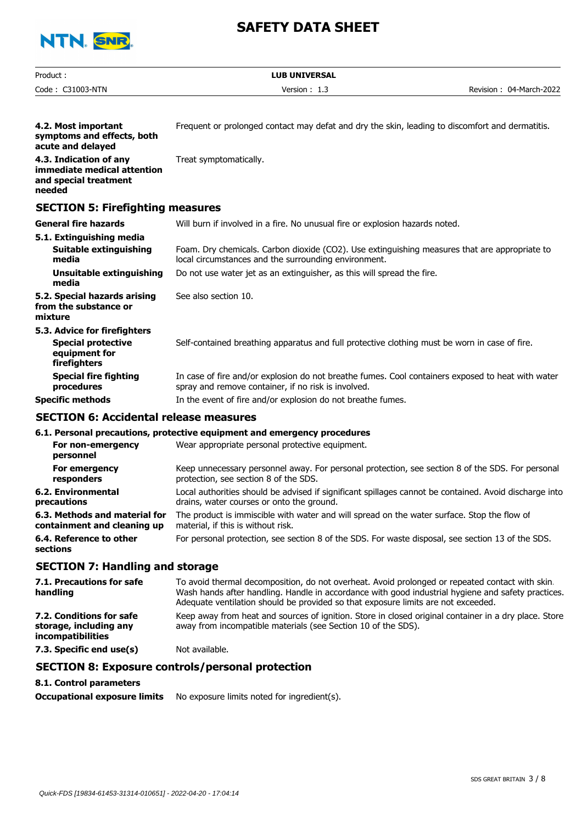

| Product:                                                                                   | <b>LUB UNIVERSAL</b>                                                                                                                                                                                                                                                                       |                         |
|--------------------------------------------------------------------------------------------|--------------------------------------------------------------------------------------------------------------------------------------------------------------------------------------------------------------------------------------------------------------------------------------------|-------------------------|
| Code: C31003-NTN                                                                           | Version: 1.3                                                                                                                                                                                                                                                                               | Revision: 04-March-2022 |
|                                                                                            |                                                                                                                                                                                                                                                                                            |                         |
| 4.2. Most important<br>symptoms and effects, both<br>acute and delayed                     | Frequent or prolonged contact may defat and dry the skin, leading to discomfort and dermatitis.                                                                                                                                                                                            |                         |
| 4.3. Indication of any<br>immediate medical attention<br>and special treatment<br>needed   | Treat symptomatically.                                                                                                                                                                                                                                                                     |                         |
| <b>SECTION 5: Firefighting measures</b>                                                    |                                                                                                                                                                                                                                                                                            |                         |
| <b>General fire hazards</b>                                                                | Will burn if involved in a fire. No unusual fire or explosion hazards noted.                                                                                                                                                                                                               |                         |
| 5.1. Extinguishing media<br><b>Suitable extinguishing</b><br>media                         | Foam. Dry chemicals. Carbon dioxide (CO2). Use extinguishing measures that are appropriate to<br>local circumstances and the surrounding environment.                                                                                                                                      |                         |
| Unsuitable extinguishing<br>media                                                          | Do not use water jet as an extinguisher, as this will spread the fire.                                                                                                                                                                                                                     |                         |
| 5.2. Special hazards arising<br>from the substance or<br>mixture                           | See also section 10.                                                                                                                                                                                                                                                                       |                         |
| 5.3. Advice for firefighters<br><b>Special protective</b><br>equipment for<br>firefighters | Self-contained breathing apparatus and full protective clothing must be worn in case of fire.                                                                                                                                                                                              |                         |
| <b>Special fire fighting</b><br>procedures                                                 | In case of fire and/or explosion do not breathe fumes. Cool containers exposed to heat with water<br>spray and remove container, if no risk is involved.                                                                                                                                   |                         |
| <b>Specific methods</b>                                                                    | In the event of fire and/or explosion do not breathe fumes.                                                                                                                                                                                                                                |                         |
| <b>SECTION 6: Accidental release measures</b>                                              |                                                                                                                                                                                                                                                                                            |                         |
|                                                                                            | 6.1. Personal precautions, protective equipment and emergency procedures                                                                                                                                                                                                                   |                         |
| For non-emergency<br>personnel                                                             | Wear appropriate personal protective equipment.                                                                                                                                                                                                                                            |                         |
| For emergency<br>responders                                                                | Keep unnecessary personnel away. For personal protection, see section 8 of the SDS. For personal<br>protection, see section 8 of the SDS.                                                                                                                                                  |                         |
| 6.2. Environmental<br>precautions                                                          | Local authorities should be advised if significant spillages cannot be contained. Avoid discharge into<br>drains, water courses or onto the ground.                                                                                                                                        |                         |
| 6.3. Methods and material for<br>containment and cleaning up                               | The product is immiscible with water and will spread on the water surface. Stop the flow of<br>material, if this is without risk.                                                                                                                                                          |                         |
| 6.4. Reference to other<br>sections                                                        | For personal protection, see section 8 of the SDS. For waste disposal, see section 13 of the SDS.                                                                                                                                                                                          |                         |
| <b>SECTION 7: Handling and storage</b>                                                     |                                                                                                                                                                                                                                                                                            |                         |
| 7.1. Precautions for safe<br>handling                                                      | To avoid thermal decomposition, do not overheat. Avoid prolonged or repeated contact with skin.<br>Wash hands after handling. Handle in accordance with good industrial hygiene and safety practices.<br>Adequate ventilation should be provided so that exposure limits are not exceeded. |                         |
| 7.2. Conditions for safe<br>storage, including any<br>incompatibilities                    | Keep away from heat and sources of ignition. Store in closed original container in a dry place. Store<br>away from incompatible materials (see Section 10 of the SDS).                                                                                                                     |                         |
| 7.3. Specific end use(s)                                                                   | Not available.                                                                                                                                                                                                                                                                             |                         |
|                                                                                            | <b>SECTION 8: Exposure controls/personal protection</b>                                                                                                                                                                                                                                    |                         |
| 8.1. Control parameters                                                                    |                                                                                                                                                                                                                                                                                            |                         |

**Occupational exposure limits** No exposure limits noted for ingredient(s).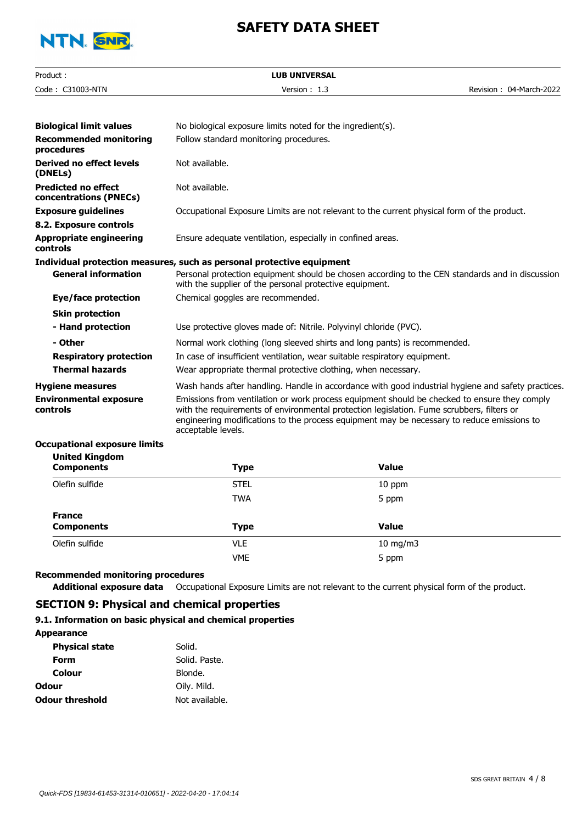

| Product:                                             | <b>LUB UNIVERSAL</b>                                                                                                                                                                                                                                                                                          |                         |
|------------------------------------------------------|---------------------------------------------------------------------------------------------------------------------------------------------------------------------------------------------------------------------------------------------------------------------------------------------------------------|-------------------------|
| Code: C31003-NTN                                     | Version: 1.3                                                                                                                                                                                                                                                                                                  | Revision: 04-March-2022 |
|                                                      |                                                                                                                                                                                                                                                                                                               |                         |
| <b>Biological limit values</b>                       | No biological exposure limits noted for the ingredient(s).                                                                                                                                                                                                                                                    |                         |
| <b>Recommended monitoring</b><br>procedures          | Follow standard monitoring procedures.                                                                                                                                                                                                                                                                        |                         |
| Derived no effect levels<br>(DNELs)                  | Not available.                                                                                                                                                                                                                                                                                                |                         |
| <b>Predicted no effect</b><br>concentrations (PNECs) | Not available.                                                                                                                                                                                                                                                                                                |                         |
| <b>Exposure guidelines</b>                           | Occupational Exposure Limits are not relevant to the current physical form of the product.                                                                                                                                                                                                                    |                         |
| 8.2. Exposure controls                               |                                                                                                                                                                                                                                                                                                               |                         |
| <b>Appropriate engineering</b><br>controls           | Ensure adequate ventilation, especially in confined areas.                                                                                                                                                                                                                                                    |                         |
|                                                      | Individual protection measures, such as personal protective equipment                                                                                                                                                                                                                                         |                         |
| <b>General information</b>                           | Personal protection equipment should be chosen according to the CEN standards and in discussion<br>with the supplier of the personal protective equipment.                                                                                                                                                    |                         |
| Eye/face protection                                  | Chemical goggles are recommended.                                                                                                                                                                                                                                                                             |                         |
| <b>Skin protection</b>                               |                                                                                                                                                                                                                                                                                                               |                         |
| - Hand protection                                    | Use protective gloves made of: Nitrile. Polyvinyl chloride (PVC).                                                                                                                                                                                                                                             |                         |
| - Other                                              | Normal work clothing (long sleeved shirts and long pants) is recommended.                                                                                                                                                                                                                                     |                         |
| <b>Respiratory protection</b>                        | In case of insufficient ventilation, wear suitable respiratory equipment.                                                                                                                                                                                                                                     |                         |
| <b>Thermal hazards</b>                               | Wear appropriate thermal protective clothing, when necessary.                                                                                                                                                                                                                                                 |                         |
| <b>Hygiene measures</b>                              | Wash hands after handling. Handle in accordance with good industrial hygiene and safety practices.                                                                                                                                                                                                            |                         |
| <b>Environmental exposure</b><br>controls            | Emissions from ventilation or work process equipment should be checked to ensure they comply<br>with the requirements of environmental protection legislation. Fume scrubbers, filters or<br>engineering modifications to the process equipment may be necessary to reduce emissions to<br>acceptable levels. |                         |

#### **Occupational exposure limits United Kingdom**

| <b>UIIILEU NIIIYUUIII</b><br><b>Components</b> | <b>Type</b> | <b>Value</b>  |  |
|------------------------------------------------|-------------|---------------|--|
| Olefin sulfide                                 | <b>STEL</b> | 10 ppm        |  |
|                                                | <b>TWA</b>  | 5 ppm         |  |
| <b>France</b><br><b>Components</b>             | <b>Type</b> | <b>Value</b>  |  |
| Olefin sulfide                                 | <b>VLE</b>  | $10$ mg/m $3$ |  |
|                                                | <b>VME</b>  | 5 ppm         |  |

## **Recommended monitoring procedures**

**Additional exposure data** Occupational Exposure Limits are not relevant to the current physical form of the product.

# **SECTION 9: Physical and chemical properties**

### **9.1. Information on basic physical and chemical properties**

| <b>Appearance</b>      |                |
|------------------------|----------------|
| <b>Physical state</b>  | Solid.         |
| Form                   | Solid. Paste.  |
| Colour                 | Blonde.        |
| Odour                  | Oily. Mild.    |
| <b>Odour threshold</b> | Not available. |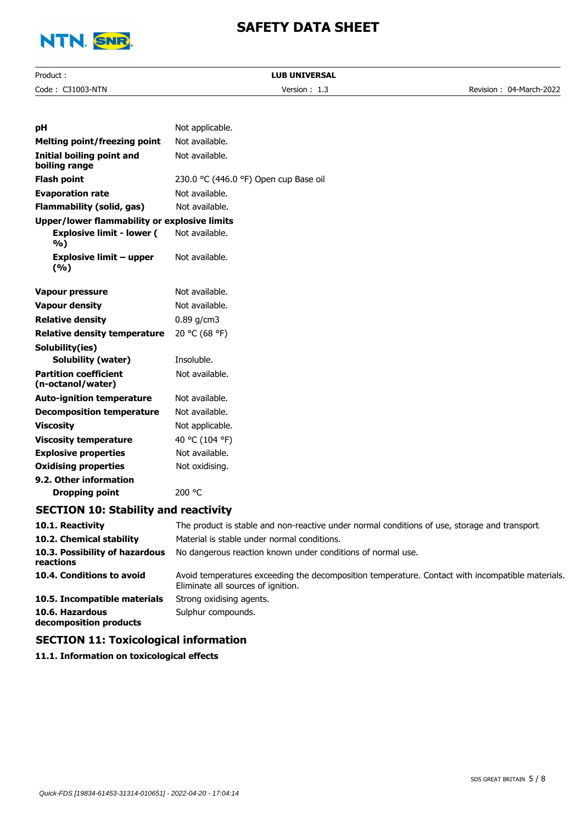

| Product:                                            | <b>LUB UNIVERSAL</b>                                                                                                                   |                         |
|-----------------------------------------------------|----------------------------------------------------------------------------------------------------------------------------------------|-------------------------|
| Code: C31003-NTN                                    | Version: 1.3                                                                                                                           | Revision: 04-March-2022 |
|                                                     |                                                                                                                                        |                         |
| рH                                                  | Not applicable.                                                                                                                        |                         |
| <b>Melting point/freezing point</b>                 | Not available.                                                                                                                         |                         |
| <b>Initial boiling point and</b><br>boiling range   | Not available.                                                                                                                         |                         |
| <b>Flash point</b>                                  | 230.0 °C (446.0 °F) Open cup Base oil                                                                                                  |                         |
| <b>Evaporation rate</b>                             | Not available.                                                                                                                         |                         |
| <b>Flammability (solid, gas)</b>                    | Not available.                                                                                                                         |                         |
| <b>Upper/lower flammability or explosive limits</b> |                                                                                                                                        |                         |
| <b>Explosive limit - lower (</b><br>%)              | Not available.                                                                                                                         |                         |
| <b>Explosive limit – upper</b><br>(%)               | Not available.                                                                                                                         |                         |
| Vapour pressure                                     | Not available.                                                                                                                         |                         |
| <b>Vapour density</b>                               | Not available.                                                                                                                         |                         |
| <b>Relative density</b>                             | $0.89$ g/cm3                                                                                                                           |                         |
| <b>Relative density temperature</b>                 | 20 °C (68 °F)                                                                                                                          |                         |
| Solubility(ies)                                     |                                                                                                                                        |                         |
| <b>Solubility (water)</b>                           | Insoluble.                                                                                                                             |                         |
| <b>Partition coefficient</b><br>(n-octanol/water)   | Not available.                                                                                                                         |                         |
| <b>Auto-ignition temperature</b>                    | Not available.                                                                                                                         |                         |
| <b>Decomposition temperature</b>                    | Not available.                                                                                                                         |                         |
| <b>Viscosity</b>                                    | Not applicable.                                                                                                                        |                         |
| <b>Viscosity temperature</b>                        | 40 °C (104 °F)                                                                                                                         |                         |
| <b>Explosive properties</b>                         | Not available.                                                                                                                         |                         |
| <b>Oxidising properties</b>                         | Not oxidising.                                                                                                                         |                         |
| 9.2. Other information                              |                                                                                                                                        |                         |
| <b>Dropping point</b>                               | 200 °C                                                                                                                                 |                         |
| <b>SECTION 10: Stability and reactivity</b>         |                                                                                                                                        |                         |
| 10.1. Reactivity                                    | The product is stable and non-reactive under normal conditions of use, storage and transport.                                          |                         |
| 10.2. Chemical stability                            | Material is stable under normal conditions.                                                                                            |                         |
| 10.3. Possibility of hazardous<br>reactions         | No dangerous reaction known under conditions of normal use.                                                                            |                         |
| 10.4. Conditions to avoid                           | Avoid temperatures exceeding the decomposition temperature. Contact with incompatible materials.<br>Eliminate all sources of ignition. |                         |
| 10.5. Incompatible materials                        | Strong oxidising agents.                                                                                                               |                         |
| 10.6. Hazardous<br>decomposition products           | Sulphur compounds.                                                                                                                     |                         |
|                                                     |                                                                                                                                        |                         |

# **SECTION 11: Toxicological information**

**11.1. Information on toxicological effects**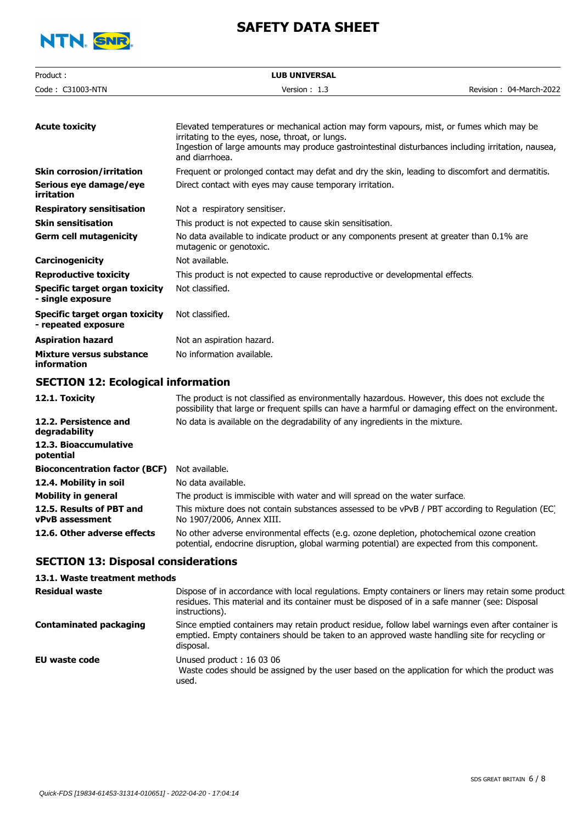

| Product:                                                     | <b>LUB UNIVERSAL</b>                                                                                                                                                                                                                                                |                         |
|--------------------------------------------------------------|---------------------------------------------------------------------------------------------------------------------------------------------------------------------------------------------------------------------------------------------------------------------|-------------------------|
| Code: C31003-NTN                                             | Version: 1.3                                                                                                                                                                                                                                                        | Revision: 04-March-2022 |
|                                                              |                                                                                                                                                                                                                                                                     |                         |
| <b>Acute toxicity</b>                                        | Elevated temperatures or mechanical action may form vapours, mist, or fumes which may be<br>irritating to the eyes, nose, throat, or lungs.<br>Ingestion of large amounts may produce gastrointestinal disturbances including irritation, nausea,<br>and diarrhoea. |                         |
| <b>Skin corrosion/irritation</b>                             | Frequent or prolonged contact may defat and dry the skin, leading to discomfort and dermatitis.                                                                                                                                                                     |                         |
| Serious eye damage/eye<br>irritation                         | Direct contact with eyes may cause temporary irritation.                                                                                                                                                                                                            |                         |
| <b>Respiratory sensitisation</b>                             | Not a respiratory sensitiser.                                                                                                                                                                                                                                       |                         |
| <b>Skin sensitisation</b>                                    | This product is not expected to cause skin sensitisation.                                                                                                                                                                                                           |                         |
| <b>Germ cell mutagenicity</b>                                | No data available to indicate product or any components present at greater than 0.1% are<br>mutagenic or genotoxic.                                                                                                                                                 |                         |
| Carcinogenicity                                              | Not available.                                                                                                                                                                                                                                                      |                         |
| <b>Reproductive toxicity</b>                                 | This product is not expected to cause reproductive or developmental effects.                                                                                                                                                                                        |                         |
| <b>Specific target organ toxicity</b><br>- single exposure   | Not classified.                                                                                                                                                                                                                                                     |                         |
| <b>Specific target organ toxicity</b><br>- repeated exposure | Not classified.                                                                                                                                                                                                                                                     |                         |
| <b>Aspiration hazard</b>                                     | Not an aspiration hazard.                                                                                                                                                                                                                                           |                         |
| <b>Mixture versus substance</b><br><b>information</b>        | No information available.                                                                                                                                                                                                                                           |                         |
| <b>SECTION 12: Ecological information</b>                    |                                                                                                                                                                                                                                                                     |                         |
| 12.1. Toxicity                                               | The product is not classified as environmentally hazardous. However, this does not exclude the<br>possibility that large or frequent spills can have a harmful or damaging effect on the environment.                                                               |                         |
| 12.2. Persistence and<br>degradability                       | No data is available on the degradability of any ingredients in the mixture.                                                                                                                                                                                        |                         |
| 12.3. Bioaccumulative<br>potential                           |                                                                                                                                                                                                                                                                     |                         |
| <b>Bioconcentration factor (BCF)</b>                         | Not available.                                                                                                                                                                                                                                                      |                         |
| 12.4. Mobility in soil                                       | No data available.                                                                                                                                                                                                                                                  |                         |
| <b>Mobility in general</b>                                   | The product is immiscible with water and will spread on the water surface.                                                                                                                                                                                          |                         |
| 12.5. Results of PBT and<br><b>vPvB</b> assessment           | This mixture does not contain substances assessed to be vPvB / PBT according to Regulation (EC)<br>No 1907/2006, Annex XIII.                                                                                                                                        |                         |
| 12.6. Other adverse effects                                  | No other adverse environmental effects (e.g. ozone depletion, photochemical ozone creation                                                                                                                                                                          |                         |

## **SECTION 13: Disposal considerations**

## **13.1. Waste treatment methods**

| <b>Residual waste</b>  | Dispose of in accordance with local regulations. Empty containers or liners may retain some product<br>residues. This material and its container must be disposed of in a safe manner (see: Disposal<br>instructions). |
|------------------------|------------------------------------------------------------------------------------------------------------------------------------------------------------------------------------------------------------------------|
| Contaminated packaging | Since emptied containers may retain product residue, follow label warnings even after container is<br>emptied. Empty containers should be taken to an approved waste handling site for recycling or<br>disposal.       |
| EU waste code          | Unused product: 16 03 06<br>Waste codes should be assigned by the user based on the application for which the product was<br>used.                                                                                     |

potential, endocrine disruption, global warming potential) are expected from this component.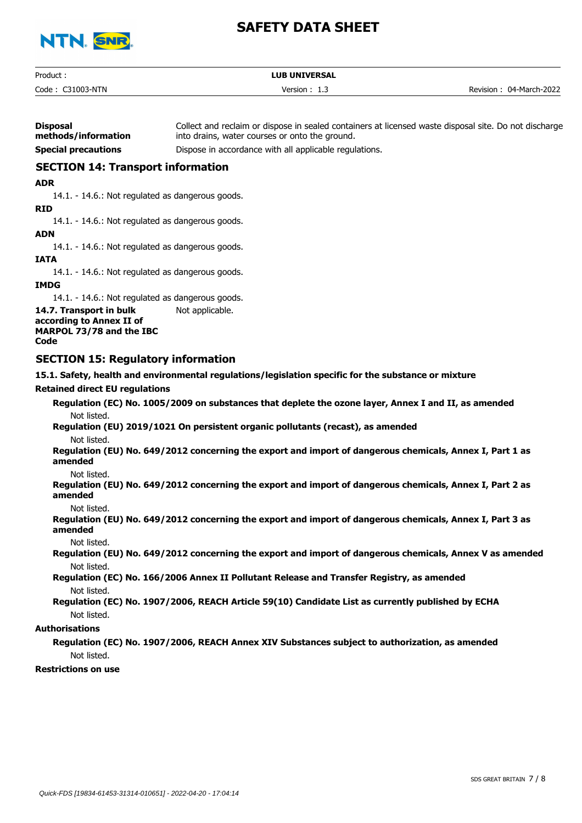

| Product:         | <b>LUB UNIVERSAL</b> |                         |
|------------------|----------------------|-------------------------|
| Code: C31003-NTN | Version $: 1.3$      | Revision: 04-March-2022 |

| <b>Disposal</b><br>methods/information   | Collect and reclaim or dispose in sealed containers at licensed waste disposal site. Do not discharge<br>into drains, water courses or onto the ground. |  |
|------------------------------------------|---------------------------------------------------------------------------------------------------------------------------------------------------------|--|
| <b>Special precautions</b>               | Dispose in accordance with all applicable regulations.                                                                                                  |  |
| <b>SECTION 14: Transport information</b> |                                                                                                                                                         |  |
| <b>ADR</b>                               |                                                                                                                                                         |  |

14.1. - 14.6.: Not regulated as dangerous goods.

**RID**

14.1. - 14.6.: Not regulated as dangerous goods.

**ADN**

14.1. - 14.6.: Not regulated as dangerous goods.

**IATA**

14.1. - 14.6.: Not regulated as dangerous goods.

**IMDG**

14.1. - 14.6.: Not regulated as dangerous goods.

**14.7. Transport in bulk** Not applicable. **according to Annex II of MARPOL 73/78 and the IBC Code**

## **SECTION 15: Regulatory information**

**15.1. Safety, health and environmental regulations/legislation specific for the substance or mixture**

#### **Retained direct EU regulations**

**Regulation (EC) No. 1005/2009 on substances that deplete the ozone layer, Annex I and II, as amended** Not listed. **Regulation (EU) 2019/1021 On persistent organic pollutants (recast), as amended** Not listed. **Regulation (EU) No. 649/2012 concerning the export and import of dangerous chemicals, Annex I, Part 1 as amended** Not listed. **Regulation (EU) No. 649/2012 concerning the export and import of dangerous chemicals, Annex I, Part 2 as amended** Not listed. **Regulation (EU) No. 649/2012 concerning the export and import of dangerous chemicals, Annex I, Part 3 as amended** Not listed. **Regulation (EU) No. 649/2012 concerning the export and import of dangerous chemicals, Annex V as amended**

Not listed.

**Regulation (EC) No. 166/2006 Annex II Pollutant Release and Transfer Registry, as amended** Not listed.

**Regulation (EC) No. 1907/2006, REACH Article 59(10) Candidate List as currently published by ECHA** Not listed.

### **Authorisations**

**Regulation (EC) No. 1907/2006, REACH Annex XIV Substances subject to authorization, as amended** Not listed.

**Restrictions on use**